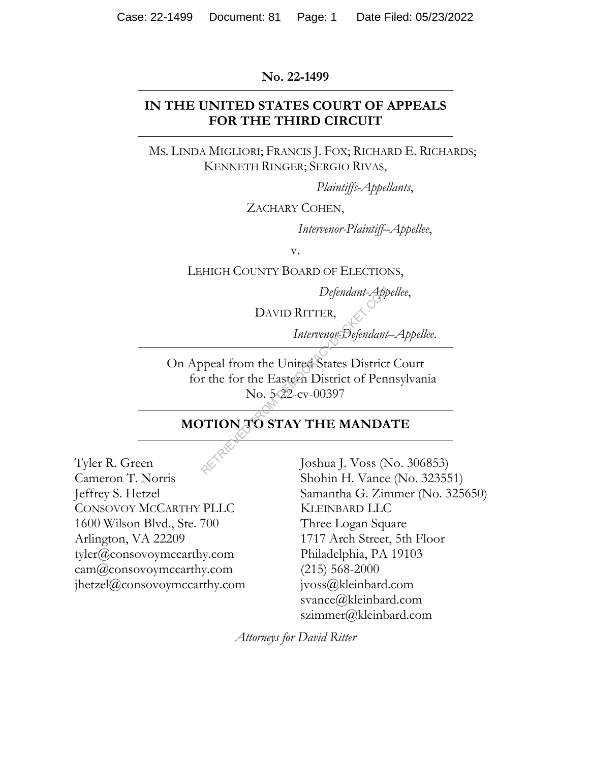#### **No. 22-1499**

# **IN THE UNITED STATES COURT OF APPEALS FOR THE THIRD CIRCUIT**

MS. LINDA MIGLIORI; FRANCIS J. FOX; RICHARD E. RICHARDS; KENNETH RINGER; SERGIO RIVAS,

*Plaintiffs-Appellants*,

ZACHARY COHEN,

*Intervenor-Plaintiff–Appellee*,

v.

LEHIGH COUNTY BOARD OF ELECTIONS,

*Defendant-Appellee*,

DAVID RITTER,

*Intervenor-Defendant–Appellee*.

On Appeal from the United States District Court for the for the Eastern District of Pennsylvania No. 5-22-cv-00397 Defendant-App<br>
DAVID RITTER,<br>
Intervenor-Defendant<br>
ppeal from the United-States District<br>
r the for the Eastern District of Pen<br>
No. 5-22-cv-00397<br>
PTION TO STAY THE MANDA<br>
Joshua J. Voss (N

# **MOTION TO STAY THE MANDATE**

Tyler R. Green Cameron T. Norris Jeffrey S. Hetzel CONSOVOY MCCARTHY PLLC 1600 Wilson Blvd., Ste. 700 Arlington, VA 22209 tyler@consovoymccarthy.com cam@consovoymccarthy.com jhetzel@consovoymccarthy.com

Joshua J. Voss (No. 306853) Shohin H. Vance (No. 323551) Samantha G. Zimmer (No. 325650) KLEINBARD LLC Three Logan Square 1717 Arch Street, 5th Floor Philadelphia, PA 19103 (215) 568-2000 jvoss@kleinbard.com svance@kleinbard.com szimmer@kleinbard.com

*Attorneys for David Ritter*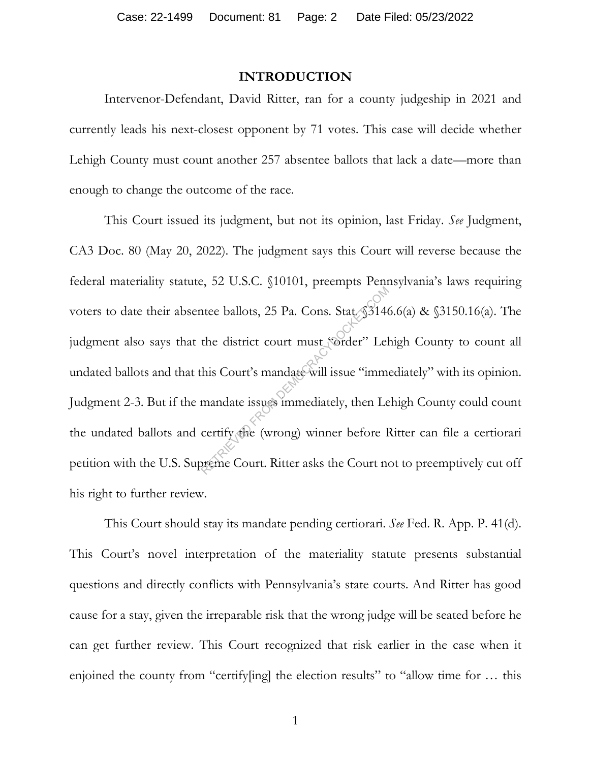#### **INTRODUCTION**

Intervenor-Defendant, David Ritter, ran for a county judgeship in 2021 and currently leads his next-closest opponent by 71 votes. This case will decide whether Lehigh County must count another 257 absentee ballots that lack a date—more than enough to change the outcome of the race.

This Court issued its judgment, but not its opinion, last Friday. *See* Judgment, CA3 Doc. 80 (May 20, 2022). The judgment says this Court will reverse because the federal materiality statute, 52 U.S.C. §10101, preempts Pennsylvania's laws requiring voters to date their absentee ballots, 25 Pa. Cons. Stat. §3146.6(a) & §3150.16(a). The judgment also says that the district court must "order" Lehigh County to count all undated ballots and that this Court's mandate will issue "immediately" with its opinion. Judgment 2-3. But if the mandate issues immediately, then Lehigh County could count the undated ballots and certify the (wrong) winner before Ritter can file a certiorari petition with the U.S. Supreme Court. Ritter asks the Court not to preemptively cut off his right to further review. The ballots, 25 Pa. Cons. Stat. \$3146<br>the district court must sorder" Lel<br>his Court's mandate will issue "immermandate issues immediately, then Le<br>certify the (wrong) winner before I<br>preme Court. Ritter asks the Court no

This Court should stay its mandate pending certiorari. *See* Fed. R. App. P. 41(d). This Court's novel interpretation of the materiality statute presents substantial questions and directly conflicts with Pennsylvania's state courts. And Ritter has good cause for a stay, given the irreparable risk that the wrong judge will be seated before he can get further review. This Court recognized that risk earlier in the case when it enjoined the county from "certify[ing] the election results" to "allow time for … this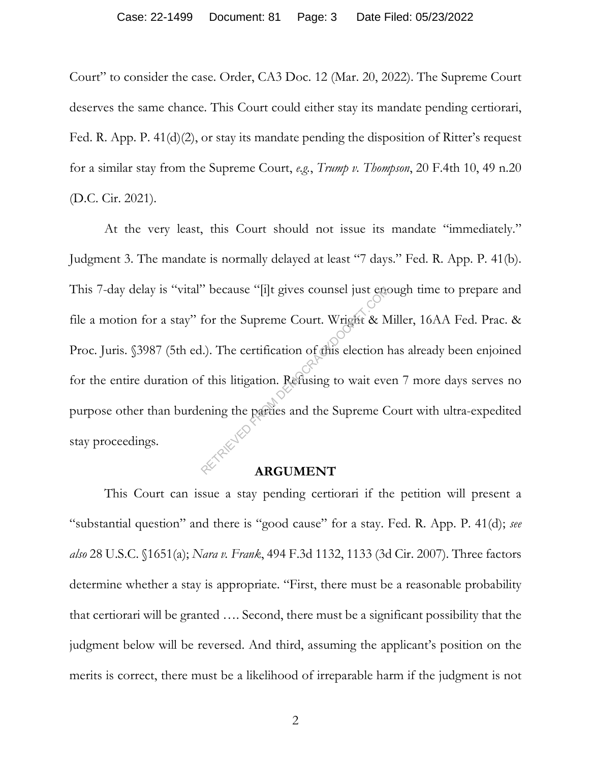Court" to consider the case. Order, CA3 Doc. 12 (Mar. 20, 2022). The Supreme Court deserves the same chance. This Court could either stay its mandate pending certiorari, Fed. R. App. P. 41(d)(2), or stay its mandate pending the disposition of Ritter's request for a similar stay from the Supreme Court, *e.g.*, *Trump v. Thompson*, 20 F.4th 10, 49 n.20 (D.C. Cir. 2021).

At the very least, this Court should not issue its mandate "immediately." Judgment 3. The mandate is normally delayed at least "7 days." Fed. R. App. P. 41(b). This 7-day delay is "vital" because "[i]t gives counsel just enough time to prepare and file a motion for a stay" for the Supreme Court. Wright & Miller, 16AA Fed. Prac. & Proc. Juris. §3987 (5th ed.). The certification of this election has already been enjoined for the entire duration of this litigation. Refusing to wait even 7 more days serves no purpose other than burdening the parties and the Supreme Court with ultra-expedited stay proceedings.  $\frac{R}{\text{Cov}}$  because "[1]t gives counsel just emot<br>for the Supreme Court. Wright & M<br>l.). The certification of this election l<br>f this litigation. Refusing to wait eve<br>ening the parties and the Supreme C<br>REGUMENT

# **ARGUMENT**

This Court can issue a stay pending certiorari if the petition will present a "substantial question" and there is "good cause" for a stay. Fed. R. App. P. 41(d); *see also* 28 U.S.C. §1651(a); *Nara v. Frank*, 494 F.3d 1132, 1133 (3d Cir. 2007). Three factors determine whether a stay is appropriate. "First, there must be a reasonable probability that certiorari will be granted …. Second, there must be a significant possibility that the judgment below will be reversed. And third, assuming the applicant's position on the merits is correct, there must be a likelihood of irreparable harm if the judgment is not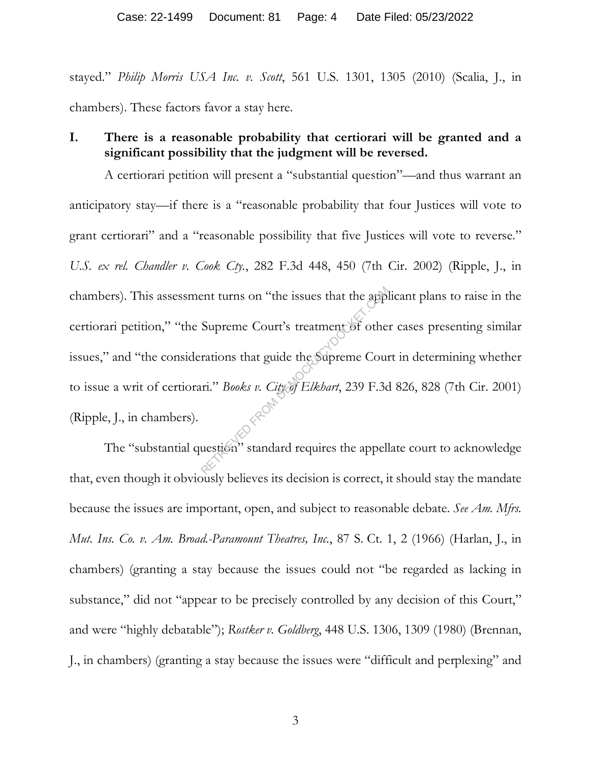stayed." *Philip Morris USA Inc. v. Scott*, 561 U.S. 1301, 1305 (2010) (Scalia, J., in chambers). These factors favor a stay here.

# **I. There is a reasonable probability that certiorari will be granted and a significant possibility that the judgment will be reversed.**

A certiorari petition will present a "substantial question"—and thus warrant an anticipatory stay—if there is a "reasonable probability that four Justices will vote to grant certiorari" and a "reasonable possibility that five Justices will vote to reverse." *U.S. ex rel. Chandler v. Cook Cty.*, 282 F.3d 448, 450 (7th Cir. 2002) (Ripple, J., in chambers). This assessment turns on "the issues that the applicant plans to raise in the certiorari petition," "the Supreme Court's treatment of other cases presenting similar issues," and "the considerations that guide the Supreme Court in determining whether to issue a writ of certiorari." *Books v. City of Elkhart*, 239 F.3d 826, 828 (7th Cir. 2001) (Ripple, J., in chambers). ent turns on "the issues that the apple<br>Supreme Court's treatment of other<br>rations that guide the Supreme Court<br>in." *Books v. City of Elkbart*, 239 F.3d<br>uestion" standard requires the appell

The "substantial question" standard requires the appellate court to acknowledge that, even though it obviously believes its decision is correct, it should stay the mandate because the issues are important, open, and subject to reasonable debate. *See Am. Mfrs. Mut. Ins. Co. v. Am. Broad.-Paramount Theatres, Inc.*, 87 S. Ct. 1, 2 (1966) (Harlan, J., in chambers) (granting a stay because the issues could not "be regarded as lacking in substance," did not "appear to be precisely controlled by any decision of this Court," and were "highly debatable"); *Rostker v. Goldberg*, 448 U.S. 1306, 1309 (1980) (Brennan, J., in chambers) (granting a stay because the issues were "difficult and perplexing" and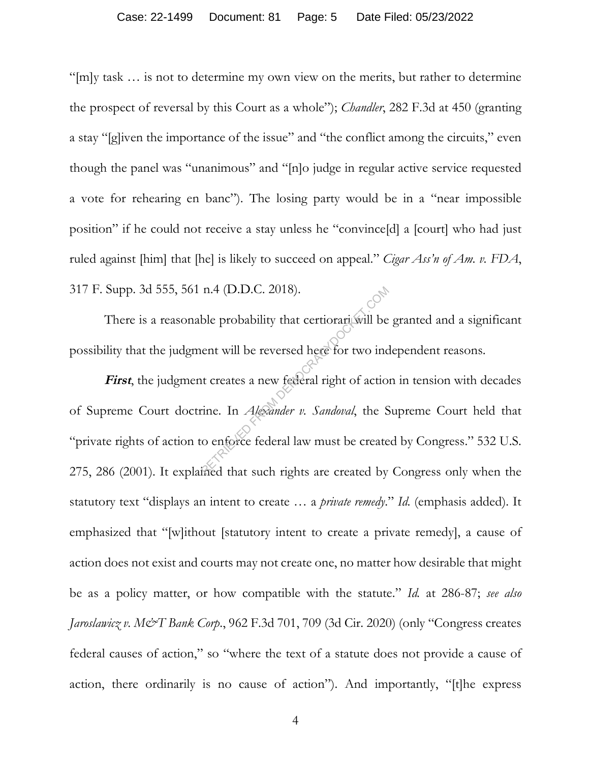"[m]y task … is not to determine my own view on the merits, but rather to determine the prospect of reversal by this Court as a whole"); *Chandler*, 282 F.3d at 450 (granting a stay "[g]iven the importance of the issue" and "the conflict among the circuits," even though the panel was "unanimous" and "[n]o judge in regular active service requested a vote for rehearing en banc"). The losing party would be in a "near impossible position" if he could not receive a stay unless he "convince[d] a [court] who had just ruled against [him] that [he] is likely to succeed on appeal." *Cigar Ass'n of Am. v. FDA*, 317 F. Supp. 3d 555, 561 n.4 (D.D.C. 2018).

There is a reasonable probability that certiorari will be granted and a significant possibility that the judgment will be reversed here for two independent reasons.

First, the judgment creates a new federal right of action in tension with decades of Supreme Court doctrine. In *Alexander v. Sandoval*, the Supreme Court held that "private rights of action to enforce federal law must be created by Congress." 532 U.S. 275, 286 (2001). It explained that such rights are created by Congress only when the statutory text "displays an intent to create … a *private remedy*." *Id.* (emphasis added). It emphasized that "[w]ithout [statutory intent to create a private remedy], a cause of action does not exist and courts may not create one, no matter how desirable that might be as a policy matter, or how compatible with the statute." *Id.* at 286-87; *see also Jaroslawicz v. M&T Bank Corp.*, 962 F.3d 701, 709 (3d Cir. 2020) (only "Congress creates federal causes of action," so "where the text of a statute does not provide a cause of action, there ordinarily is no cause of action"). And importantly, "[t]he express  $R = \frac{1}{2}$ <br>
ble probability that certiorari will be<br>
ent will be reversed here for two inc<br>
at creates a new federal right of action<br>
comes a new federal right of action<br>
comes federal law must be created by<br>
direct that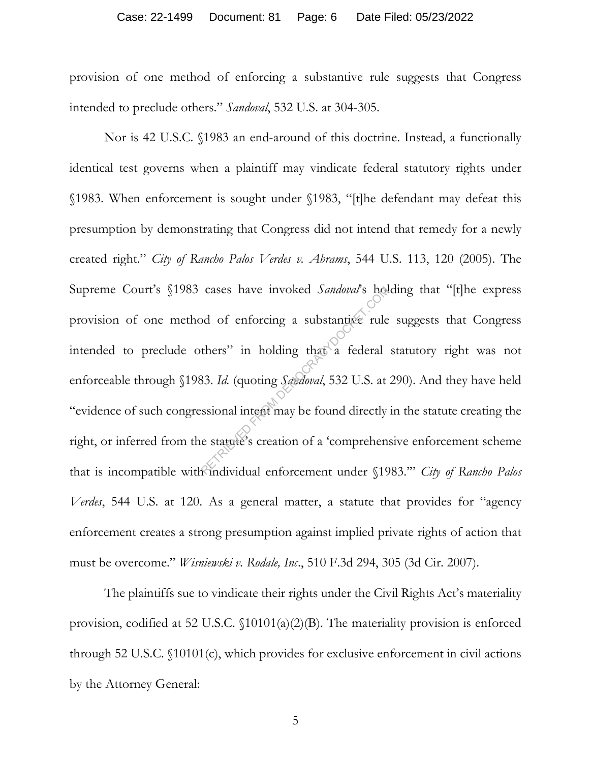provision of one method of enforcing a substantive rule suggests that Congress intended to preclude others." *Sandoval*, 532 U.S. at 304-305.

Nor is 42 U.S.C. §1983 an end-around of this doctrine. Instead, a functionally identical test governs when a plaintiff may vindicate federal statutory rights under §1983. When enforcement is sought under §1983, "[t]he defendant may defeat this presumption by demonstrating that Congress did not intend that remedy for a newly created right." *City of Rancho Palos Verdes v. Abrams*, 544 U.S. 113, 120 (2005). The Supreme Court's §1983 cases have invoked *Sandoval*'s holding that "[t]he express provision of one method of enforcing a substantive rule suggests that Congress intended to preclude others" in holding that a federal statutory right was not enforceable through §1983. *Id.* (quoting *Sandoval*, 532 U.S. at 290). And they have held "evidence of such congressional intent may be found directly in the statute creating the right, or inferred from the statute's creation of a 'comprehensive enforcement scheme that is incompatible with individual enforcement under §1983.'" *City of Rancho Palos Verdes*, 544 U.S. at 120. As a general matter, a statute that provides for "agency enforcement creates a strong presumption against implied private rights of action that must be overcome." *Wisniewski v. Rodale, Inc*., 510 F.3d 294, 305 (3d Cir. 2007). cases have invoked *Sandoval's* hold<br>od of enforcing a substantive rule<br>thers" in holding that a federal<br>33. Id. (quoting *Sandoval*, 532 U.S. at<br>ssional intent may be found directly<br>e statute's creation of a 'comprehen

The plaintiffs sue to vindicate their rights under the Civil Rights Act's materiality provision, codified at 52 U.S.C. §10101(a)(2)(B). The materiality provision is enforced through 52 U.S.C. §10101(c), which provides for exclusive enforcement in civil actions by the Attorney General: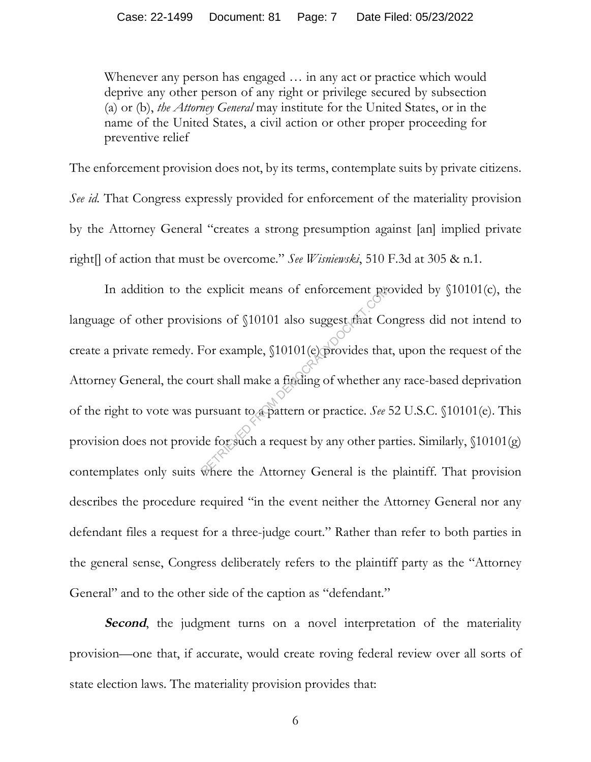Whenever any person has engaged … in any act or practice which would deprive any other person of any right or privilege secured by subsection (a) or (b), *the Attorney General* may institute for the United States, or in the name of the United States, a civil action or other proper proceeding for preventive relief

The enforcement provision does not, by its terms, contemplate suits by private citizens. *See id.* That Congress expressly provided for enforcement of the materiality provision by the Attorney General "creates a strong presumption against [an] implied private right[] of action that must be overcome." *See Wisniewski*, 510 F.3d at 305 & n.1.

In addition to the explicit means of enforcement provided by §10101(c), the language of other provisions of §10101 also suggest that Congress did not intend to create a private remedy. For example, §10101(e) provides that, upon the request of the Attorney General, the court shall make a finding of whether any race-based deprivation of the right to vote was pursuant to a pattern or practice. *See* 52 U.S.C. §10101(e). This provision does not provide for such a request by any other parties. Similarly, §10101(g) contemplates only suits where the Attorney General is the plaintiff. That provision describes the procedure required "in the event neither the Attorney General nor any defendant files a request for a three-judge court." Rather than refer to both parties in the general sense, Congress deliberately refers to the plaintiff party as the "Attorney General" and to the other side of the caption as "defendant." explicit means of enforcement processes in the surface of \$10101 (e) provides that<br>For example, \$10101 (e) provides that<br>urt shall make a finding of whether as<br>ursuant to a pattern or practice. See .<br>de for such a request

**Second**, the judgment turns on a novel interpretation of the materiality provision—one that, if accurate, would create roving federal review over all sorts of state election laws. The materiality provision provides that: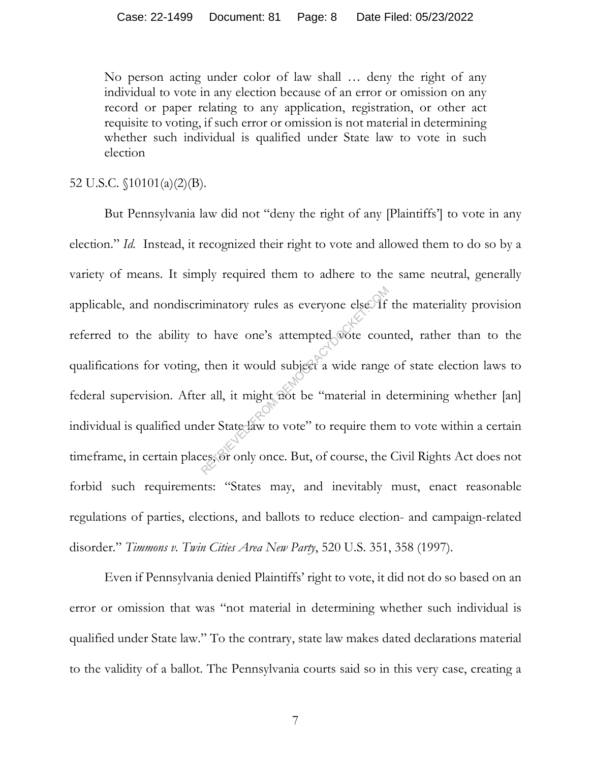No person acting under color of law shall … deny the right of any individual to vote in any election because of an error or omission on any record or paper relating to any application, registration, or other act requisite to voting, if such error or omission is not material in determining whether such individual is qualified under State law to vote in such election

### 52 U.S.C. §10101(a)(2)(B).

But Pennsylvania law did not "deny the right of any [Plaintiffs'] to vote in any election." *Id.* Instead, it recognized their right to vote and allowed them to do so by a variety of means. It simply required them to adhere to the same neutral, generally applicable, and nondiscriminatory rules as everyone else. If the materiality provision referred to the ability to have one's attempted vote counted, rather than to the qualifications for voting, then it would subject a wide range of state election laws to federal supervision. After all, it might not be "material in determining whether [an] individual is qualified under State law to vote" to require them to vote within a certain timeframe, in certain places, or only once. But, of course, the Civil Rights Act does not forbid such requirements: "States may, and inevitably must, enact reasonable regulations of parties, elections, and ballots to reduce election- and campaign-related disorder." *Timmons v. Twin Cities Area New Party*, 520 U.S. 351, 358 (1997). iminatory rules as everyone else. If<br>
o have one's attempted socie cour<br>
then it would subject a wide range<br>
r all, it might not be "material in d<br>
der State law to vote" to require ther<br>
ress or only once. But, of course,

Even if Pennsylvania denied Plaintiffs' right to vote, it did not do so based on an error or omission that was "not material in determining whether such individual is qualified under State law." To the contrary, state law makes dated declarations material to the validity of a ballot. The Pennsylvania courts said so in this very case, creating a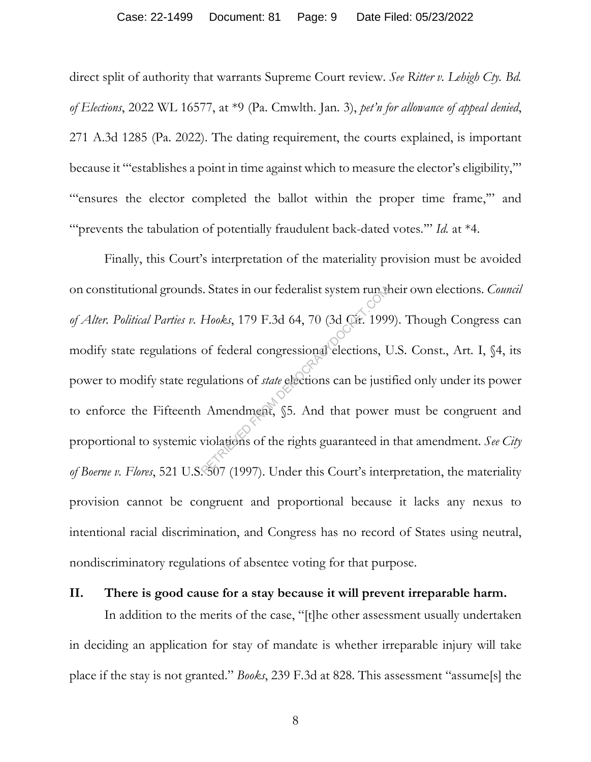direct split of authority that warrants Supreme Court review. *See Ritter v. Lehigh Cty. Bd. of Elections*, 2022 WL 16577, at \*9 (Pa. Cmwlth. Jan. 3), *pet'n for allowance of appeal denied*, 271 A.3d 1285 (Pa. 2022). The dating requirement, the courts explained, is important because it "'establishes a point in time against which to measure the elector's eligibility,'" "'ensures the elector completed the ballot within the proper time frame,'" and ""prevents the tabulation of potentially fraudulent back-dated votes." *Id.* at \*4.

Finally, this Court's interpretation of the materiality provision must be avoided on constitutional grounds. States in our federalist system run their own elections. *Council of Alter. Political Parties v. Hooks*, 179 F.3d 64, 70 (3d Cir. 1999). Though Congress can modify state regulations of federal congressional elections, U.S. Const., Art. I, §4, its power to modify state regulations of *state* elections can be justified only under its power to enforce the Fifteenth Amendment, §5. And that power must be congruent and proportional to systemic violations of the rights guaranteed in that amendment. *See City*  of Boerne v. Flores, 521 U.S. 8507 (1997). Under this Court's interpretation, the materiality provision cannot be congruent and proportional because it lacks any nexus to intentional racial discrimination, and Congress has no record of States using neutral, nondiscriminatory regulations of absentee voting for that purpose. Example: States in our tederalist system run of<br>Hooks, 179 F.3d 64, 70 (3d Cir. 199)<br>of federal congressional elections, I<br>gulations of *state* elections can be just<br>Amendment, §5. And that power<br>violations of the rights g

#### **II. There is good cause for a stay because it will prevent irreparable harm.**

In addition to the merits of the case, "[t]he other assessment usually undertaken in deciding an application for stay of mandate is whether irreparable injury will take place if the stay is not granted." *Books*, 239 F.3d at 828. This assessment "assume[s] the

8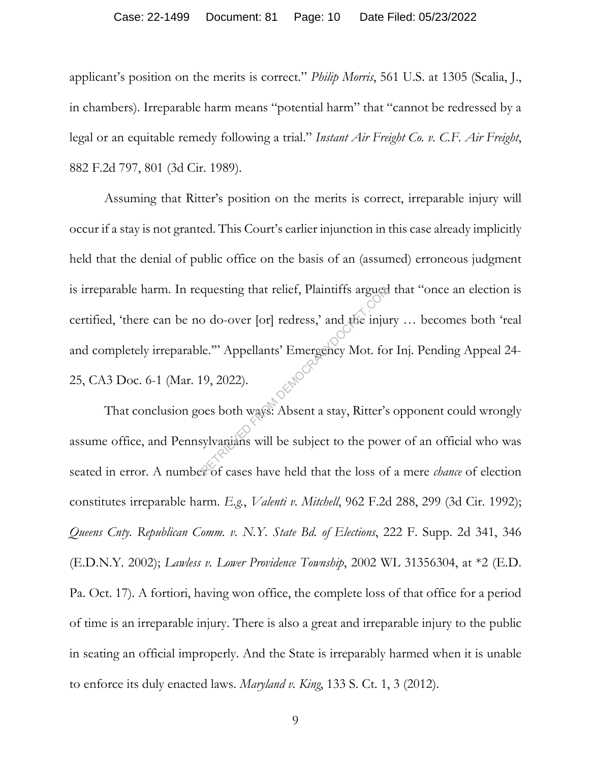#### Case: 22-1499 Document: 81 Page: 10 Date Filed: 05/23/2022

applicant's position on the merits is correct." *Philip Morris*, 561 U.S. at 1305 (Scalia, J., in chambers). Irreparable harm means "potential harm" that "cannot be redressed by a legal or an equitable remedy following a trial." *Instant Air Freight Co. v. C.F. Air Freight*, 882 F.2d 797, 801 (3d Cir. 1989).

Assuming that Ritter's position on the merits is correct, irreparable injury will occur if a stay is not granted. This Court's earlier injunction in this case already implicitly held that the denial of public office on the basis of an (assumed) erroneous judgment is irreparable harm. In requesting that relief, Plaintiffs argued that "once an election is certified, 'there can be no do-over [or] redress,' and the injury … becomes both 'real and completely irreparable.'" Appellants' Emergency Mot. for Inj. Pending Appeal 24- 25, CA3 Doc. 6-1 (Mar. 19, 2022). questing that relief, Plaintiffs argued<br>
o do-over [or] redress,' and the inju<br>
le."' Appellants' Emergency Mot. fo<br>
19, 2022).<br>
Des both ways: Absent a stay, Ritter's<br>
sylvanians will be subject to the pow

That conclusion goes both ways: Absent a stay, Ritter's opponent could wrongly assume office, and Pennsylvanians will be subject to the power of an official who was seated in error. A number of cases have held that the loss of a mere *chance* of election constitutes irreparable harm. *E.g.*, *Valenti v. Mitchell*, 962 F.2d 288, 299 (3d Cir. 1992); *Queens Cnty. Republican Comm. v. N.Y. State Bd. of Elections*, 222 F. Supp. 2d 341, 346 (E.D.N.Y. 2002); *Lawless v. Lower Providence Township*, 2002 WL 31356304, at \*2 (E.D. Pa. Oct. 17). A fortiori, having won office, the complete loss of that office for a period of time is an irreparable injury. There is also a great and irreparable injury to the public in seating an official improperly. And the State is irreparably harmed when it is unable to enforce its duly enacted laws. *Maryland v. King*, 133 S. Ct. 1, 3 (2012).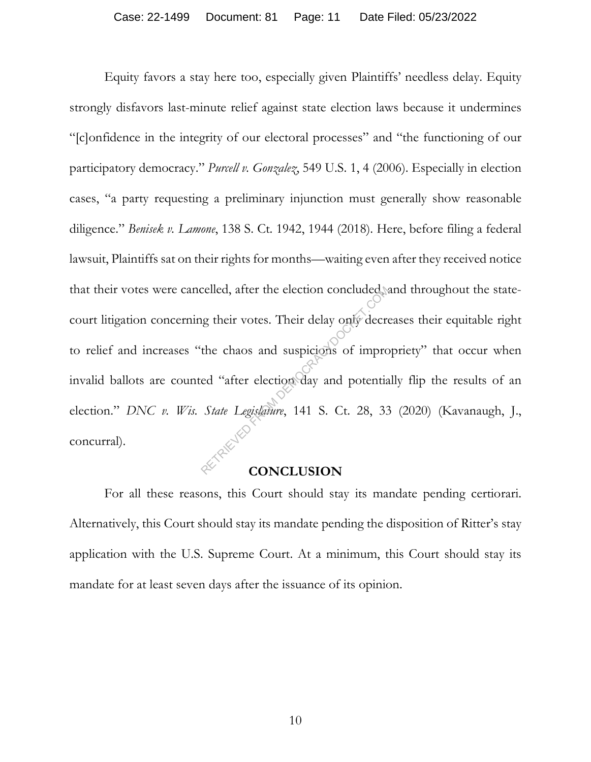Equity favors a stay here too, especially given Plaintiffs' needless delay. Equity strongly disfavors last-minute relief against state election laws because it undermines "[c]onfidence in the integrity of our electoral processes" and "the functioning of our participatory democracy." *Purcell v. Gonzalez*, 549 U.S. 1, 4 (2006). Especially in election cases, "a party requesting a preliminary injunction must generally show reasonable diligence." *Benisek v. Lamone*, 138 S. Ct. 1942, 1944 (2018). Here, before filing a federal lawsuit, Plaintiffs sat on their rights for months—waiting even after they received notice that their votes were cancelled, after the election concluded, and throughout the statecourt litigation concerning their votes. Their delay only decreases their equitable right to relief and increases "the chaos and suspicions of impropriety" that occur when invalid ballots are counted "after election day and potentially flip the results of an election." *DNC v. Wis. State Legislature*, 141 S. Ct. 28, 33 (2020) (Kavanaugh, J., concurral). Example 12 and their votes. Their delay only decrete<br>the chaos and suspicions of improved "after election day and potential<br>State Legislature, 141 S. Ct. 28, 33

#### **CONCLUSION**

For all these reasons, this Court should stay its mandate pending certiorari. Alternatively, this Court should stay its mandate pending the disposition of Ritter's stay application with the U.S. Supreme Court. At a minimum, this Court should stay its mandate for at least seven days after the issuance of its opinion.